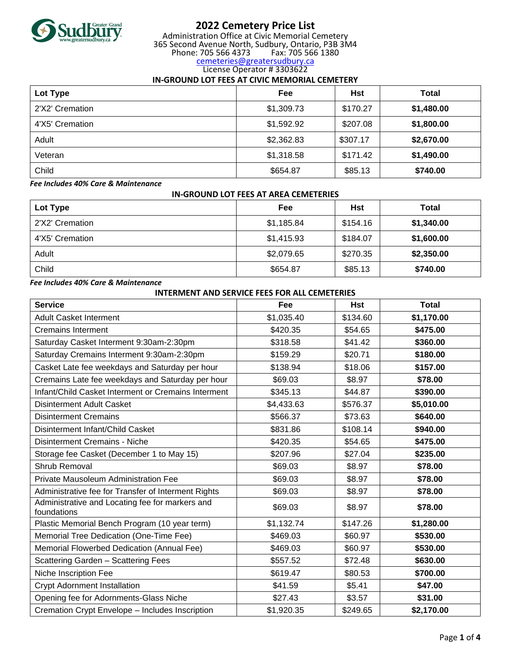

# **2022 Cemetery Price List**

Administration Office at Civic Memorial Cemetery 365 Second Avenue North, Sudbury, Ontario, P3B 3M4 Phone: 705 566 4373 Fax: 705 566 1380 [cemeteries@greatersudbury.ca](mailto:cemeteries@greatersudbury.ca)

# License Operator # 3303622

## **IN-GROUND LOT FEES AT CIVIC MEMORIAL CEMETERY**

| Lot Type        | Fee        | Hst      | <b>Total</b> |
|-----------------|------------|----------|--------------|
| 2'X2' Cremation | \$1,309.73 | \$170.27 | \$1,480.00   |
| 4'X5' Cremation | \$1,592.92 | \$207.08 | \$1,800.00   |
| Adult           | \$2,362.83 | \$307.17 | \$2,670.00   |
| Veteran         | \$1,318.58 | \$171.42 | \$1,490.00   |
| Child           | \$654.87   | \$85.13  | \$740.00     |

*Fee Includes 40% Care & Maintenance*

## **IN-GROUND LOT FEES AT AREA CEMETERIES**

| Lot Type        | Fee        | Hst      | Total      |
|-----------------|------------|----------|------------|
| 2'X2' Cremation | \$1,185.84 | \$154.16 | \$1,340.00 |
| 4'X5' Cremation | \$1,415.93 | \$184.07 | \$1,600.00 |
| Adult           | \$2,079.65 | \$270.35 | \$2,350.00 |
| Child           | \$654.87   | \$85.13  | \$740.00   |

## *Fee Includes 40% Care & Maintenance*

| <b>INTERMENT AND SERVICE FEES FOR ALL CEMETERIES</b>           |            |            |              |
|----------------------------------------------------------------|------------|------------|--------------|
| <b>Service</b>                                                 | Fee        | <b>Hst</b> | <b>Total</b> |
| <b>Adult Casket Interment</b>                                  | \$1,035.40 | \$134.60   | \$1,170.00   |
| <b>Cremains Interment</b>                                      | \$420.35   | \$54.65    | \$475.00     |
| Saturday Casket Interment 9:30am-2:30pm                        | \$318.58   | \$41.42    | \$360.00     |
| Saturday Cremains Interment 9:30am-2:30pm                      | \$159.29   | \$20.71    | \$180.00     |
| Casket Late fee weekdays and Saturday per hour                 | \$138.94   | \$18.06    | \$157.00     |
| Cremains Late fee weekdays and Saturday per hour               | \$69.03    | \$8.97     | \$78.00      |
| Infant/Child Casket Interment or Cremains Interment            | \$345.13   | \$44.87    | \$390.00     |
| <b>Disinterment Adult Casket</b>                               | \$4,433.63 | \$576.37   | \$5,010.00   |
| <b>Disinterment Cremains</b>                                   | \$566.37   | \$73.63    | \$640.00     |
| Disinterment Infant/Child Casket                               | \$831.86   | \$108.14   | \$940.00     |
| Disinterment Cremains - Niche                                  | \$420.35   | \$54.65    | \$475.00     |
| Storage fee Casket (December 1 to May 15)                      | \$207.96   | \$27.04    | \$235.00     |
| Shrub Removal                                                  | \$69.03    | \$8.97     | \$78.00      |
| Private Mausoleum Administration Fee                           | \$69.03    | \$8.97     | \$78.00      |
| Administrative fee for Transfer of Interment Rights            | \$69.03    | \$8.97     | \$78.00      |
| Administrative and Locating fee for markers and<br>foundations | \$69.03    | \$8.97     | \$78.00      |
| Plastic Memorial Bench Program (10 year term)                  | \$1,132.74 | \$147.26   | \$1,280.00   |
| Memorial Tree Dedication (One-Time Fee)                        | \$469.03   | \$60.97    | \$530.00     |
| Memorial Flowerbed Dedication (Annual Fee)                     | \$469.03   | \$60.97    | \$530.00     |
| Scattering Garden - Scattering Fees                            | \$557.52   | \$72.48    | \$630.00     |
| Niche Inscription Fee                                          | \$619.47   | \$80.53    | \$700.00     |
| <b>Crypt Adornment Installation</b>                            | \$41.59    | \$5.41     | \$47.00      |
| Opening fee for Adornments-Glass Niche                         | \$27.43    | \$3.57     | \$31.00      |
| Cremation Crypt Envelope - Includes Inscription                | \$1,920.35 | \$249.65   | \$2,170.00   |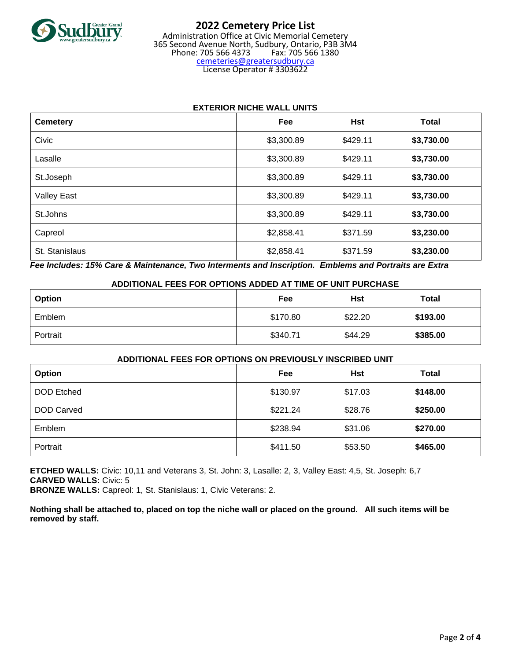

#### **2022 Cemetery Price List** Administration Office at Civic Memorial Cemetery 365 Second Avenue North, Sudbury, Ontario, P3B 3M4 Phone: 705 566 4373 Fax: 705 566 1380 [cemeteries@greatersudbury.ca](mailto:cemeteries@greatersudbury.ca) License Operator # 3303622

## **EXTERIOR NICHE WALL UNITS**

| <b>Cemetery</b>    | Fee        | <b>Hst</b> | <b>Total</b> |
|--------------------|------------|------------|--------------|
| Civic              | \$3,300.89 | \$429.11   | \$3,730.00   |
| Lasalle            | \$3,300.89 | \$429.11   | \$3,730.00   |
| St.Joseph          | \$3,300.89 | \$429.11   | \$3,730.00   |
| <b>Valley East</b> | \$3,300.89 | \$429.11   | \$3,730.00   |
| St.Johns           | \$3,300.89 | \$429.11   | \$3,730.00   |
| Capreol            | \$2,858.41 | \$371.59   | \$3,230.00   |
| St. Stanislaus     | \$2,858.41 | \$371.59   | \$3,230.00   |

*Fee Includes: 15% Care & Maintenance, Two Interments and Inscription. Emblems and Portraits are Extra*

## **ADDITIONAL FEES FOR OPTIONS ADDED AT TIME OF UNIT PURCHASE**

| Option   | Fee      | Hst     | <b>Total</b> |
|----------|----------|---------|--------------|
| Emblem   | \$170.80 | \$22.20 | \$193.00     |
| Portrait | \$340.71 | \$44.29 | \$385.00     |

## **ADDITIONAL FEES FOR OPTIONS ON PREVIOUSLY INSCRIBED UNIT**

| Option            | Fee      | Hst     | <b>Total</b> |
|-------------------|----------|---------|--------------|
| <b>DOD</b> Etched | \$130.97 | \$17.03 | \$148.00     |
| <b>DOD Carved</b> | \$221.24 | \$28.76 | \$250.00     |
| Emblem            | \$238.94 | \$31.06 | \$270.00     |
| Portrait          | \$411.50 | \$53.50 | \$465.00     |

**ETCHED WALLS:** Civic: 10,11 and Veterans 3, St. John: 3, Lasalle: 2, 3, Valley East: 4,5, St. Joseph: 6,7 **CARVED WALLS:** Civic: 5

**BRONZE WALLS:** Capreol: 1, St. Stanislaus: 1, Civic Veterans: 2.

**Nothing shall be attached to, placed on top the niche wall or placed on the ground. All such items will be removed by staff.**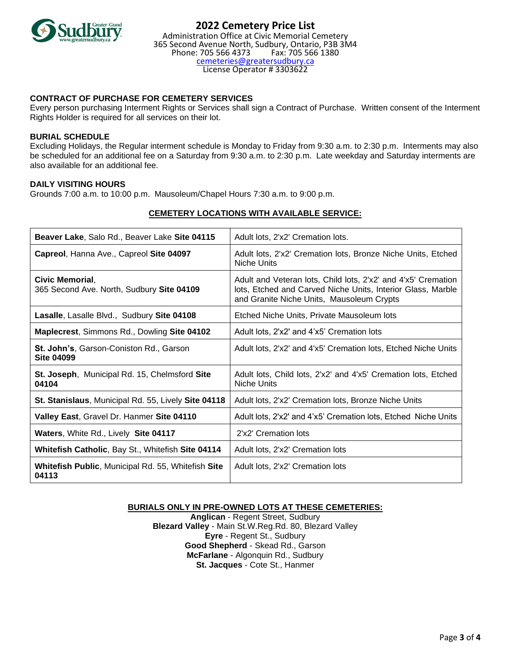

## **CONTRACT OF PURCHASE FOR CEMETERY SERVICES**

Every person purchasing Interment Rights or Services shall sign a Contract of Purchase. Written consent of the Interment Rights Holder is required for all services on their lot.

#### **BURIAL SCHEDULE**

Excluding Holidays, the Regular interment schedule is Monday to Friday from 9:30 a.m. to 2:30 p.m. Interments may also be scheduled for an additional fee on a Saturday from 9:30 a.m. to 2:30 p.m. Late weekday and Saturday interments are also available for an additional fee.

#### **DAILY VISITING HOURS**

Grounds 7:00 a.m. to 10:00 p.m. Mausoleum/Chapel Hours 7:30 a.m. to 9:00 p.m.

| Beaver Lake, Salo Rd., Beaver Lake Site 04115                       | Adult lots, 2'x2' Cremation lots.                                                                                                                                         |
|---------------------------------------------------------------------|---------------------------------------------------------------------------------------------------------------------------------------------------------------------------|
| Capreol, Hanna Ave., Capreol Site 04097                             | Adult lots, 2'x2' Cremation lots, Bronze Niche Units, Etched<br>Niche Units                                                                                               |
| Civic Memorial,<br>365 Second Ave. North, Sudbury Site 04109        | Adult and Veteran lots, Child lots, 2'x2' and 4'x5' Cremation<br>lots, Etched and Carved Niche Units, Interior Glass, Marble<br>and Granite Niche Units, Mausoleum Crypts |
| Lasalle, Lasalle Blvd., Sudbury Site 04108                          | Etched Niche Units, Private Mausoleum lots                                                                                                                                |
| Maplecrest, Simmons Rd., Dowling Site 04102                         | Adult lots, 2'x2' and 4'x5' Cremation lots                                                                                                                                |
| <b>St. John's, Garson-Coniston Rd., Garson</b><br><b>Site 04099</b> | Adult lots, 2'x2' and 4'x5' Cremation lots, Etched Niche Units                                                                                                            |
| St. Joseph, Municipal Rd. 15, Chelmsford Site<br>04104              | Adult lots, Child lots, 2'x2' and 4'x5' Cremation lots, Etched<br>Niche Units                                                                                             |
| St. Stanislaus, Municipal Rd. 55, Lively Site 04118                 | Adult lots, 2'x2' Cremation lots, Bronze Niche Units                                                                                                                      |
| Valley East, Gravel Dr. Hanmer Site 04110                           | Adult lots, 2'x2' and 4'x5' Cremation lots, Etched Niche Units                                                                                                            |
| Waters, White Rd., Lively Site 04117                                | 2'x2' Cremation lots                                                                                                                                                      |
| Whitefish Catholic, Bay St., Whitefish Site 04114                   | Adult lots, 2'x2' Cremation lots                                                                                                                                          |
| <b>Whitefish Public, Municipal Rd. 55, Whitefish Site</b><br>04113  | Adult lots, 2'x2' Cremation lots                                                                                                                                          |

## **CEMETERY LOCATIONS WITH AVAILABLE SERVICE:**

## **BURIALS ONLY IN PRE-OWNED LOTS AT THESE CEMETERIES:**

**Anglican** - Regent Street, Sudbury **Blezard Valley** - Main St.W.Reg.Rd. 80, Blezard Valley **Eyre** - Regent St., Sudbury **Good Shepherd** - Skead Rd., Garson **McFarlane** - Algonquin Rd., Sudbury **St. Jacques** - Cote St., Hanmer